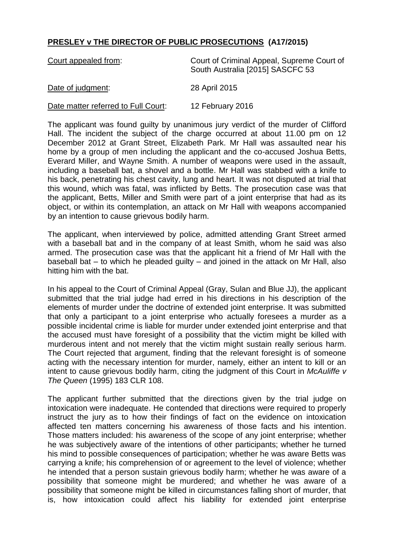## **PRESLEY v THE DIRECTOR OF PUBLIC PROSECUTIONS (A17/2015)**

| Court appealed from:                | Court of Criminal Appeal, Supreme Court of<br>South Australia [2015] SASCFC 53 |
|-------------------------------------|--------------------------------------------------------------------------------|
| Date of judgment:                   | 28 April 2015                                                                  |
| Date matter referred to Full Court: | 12 February 2016                                                               |

The applicant was found guilty by unanimous jury verdict of the murder of Clifford Hall. The incident the subject of the charge occurred at about 11.00 pm on 12 December 2012 at Grant Street, Elizabeth Park. Mr Hall was assaulted near his home by a group of men including the applicant and the co-accused Joshua Betts, Everard Miller, and Wayne Smith. A number of weapons were used in the assault, including a baseball bat, a shovel and a bottle. Mr Hall was stabbed with a knife to his back, penetrating his chest cavity, lung and heart. It was not disputed at trial that this wound, which was fatal, was inflicted by Betts. The prosecution case was that the applicant, Betts, Miller and Smith were part of a joint enterprise that had as its object, or within its contemplation, an attack on Mr Hall with weapons accompanied by an intention to cause grievous bodily harm.

The applicant, when interviewed by police, admitted attending Grant Street armed with a baseball bat and in the company of at least Smith, whom he said was also armed. The prosecution case was that the applicant hit a friend of Mr Hall with the baseball bat – to which he pleaded guilty – and joined in the attack on Mr Hall, also hitting him with the bat.

In his appeal to the Court of Criminal Appeal (Gray, Sulan and Blue JJ), the applicant submitted that the trial judge had erred in his directions in his description of the elements of murder under the doctrine of extended joint enterprise. It was submitted that only a participant to a joint enterprise who actually foresees a murder as a possible incidental crime is liable for murder under extended joint enterprise and that the accused must have foresight of a possibility that the victim might be killed with murderous intent and not merely that the victim might sustain really serious harm. The Court rejected that argument, finding that the relevant foresight is of someone acting with the necessary intention for murder, namely, either an intent to kill or an intent to cause grievous bodily harm, citing the judgment of this Court in *McAuliffe v The Queen* (1995) 183 CLR 108.

The applicant further submitted that the directions given by the trial judge on intoxication were inadequate. He contended that directions were required to properly instruct the jury as to how their findings of fact on the evidence on intoxication affected ten matters concerning his awareness of those facts and his intention. Those matters included: his awareness of the scope of any joint enterprise; whether he was subjectively aware of the intentions of other participants; whether he turned his mind to possible consequences of participation; whether he was aware Betts was carrying a knife; his comprehension of or agreement to the level of violence; whether he intended that a person sustain grievous bodily harm; whether he was aware of a possibility that someone might be murdered; and whether he was aware of a possibility that someone might be killed in circumstances falling short of murder, that is, how intoxication could affect his liability for extended joint enterprise